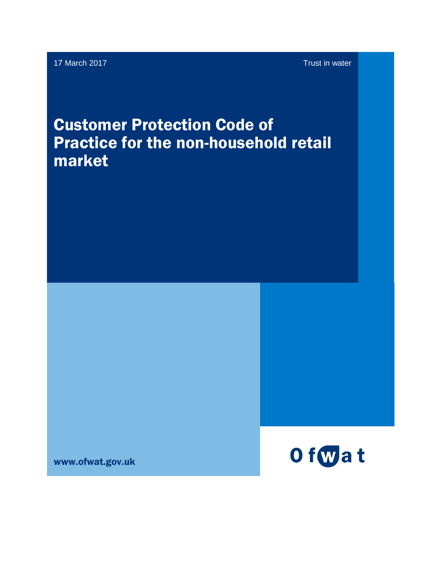# Customer Protection Code of Practice for the non-household retail market

www.ofwat.gov.uk

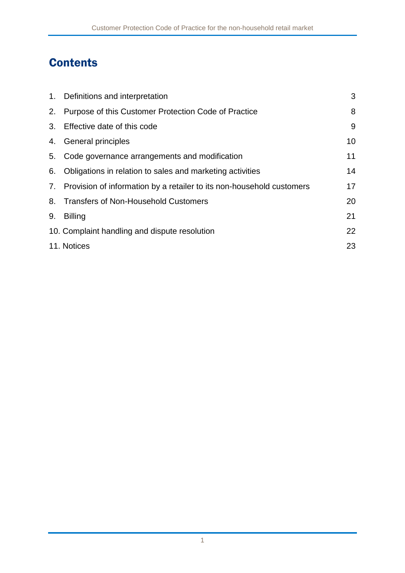## **Contents**

|    | 1. Definitions and interpretation                                        | 3  |
|----|--------------------------------------------------------------------------|----|
|    | 2. Purpose of this Customer Protection Code of Practice                  | 8  |
|    | 3. Effective date of this code                                           | 9  |
|    | 4. General principles                                                    | 10 |
|    | 5. Code governance arrangements and modification                         | 11 |
|    | 6. Obligations in relation to sales and marketing activities             | 14 |
|    | 7. Provision of information by a retailer to its non-household customers | 17 |
|    | 8. Transfers of Non-Household Customers                                  | 20 |
| 9. | <b>Billing</b>                                                           | 21 |
|    | 10. Complaint handling and dispute resolution                            | 22 |
|    | 11. Notices                                                              | 23 |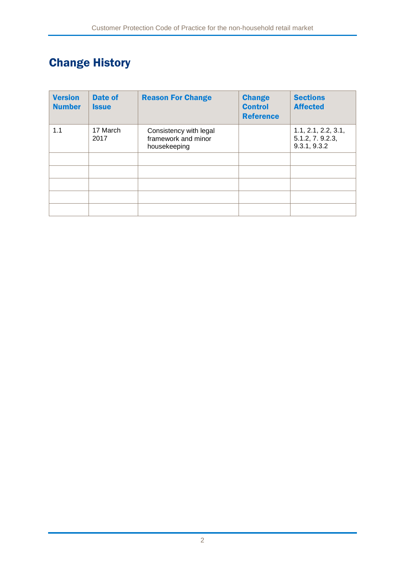## Change History

| <b>Version</b><br><b>Number</b> | <b>Date of</b><br><b>Issue</b> | <b>Reason For Change</b>                                      | <b>Change</b><br><b>Control</b><br><b>Reference</b> | <b>Sections</b><br><b>Affected</b>                      |
|---------------------------------|--------------------------------|---------------------------------------------------------------|-----------------------------------------------------|---------------------------------------------------------|
| 1.1                             | 17 March<br>2017               | Consistency with legal<br>framework and minor<br>housekeeping |                                                     | 1.1, 2.1, 2.2, 3.1,<br>5.1.2, 7. 9.2.3,<br>9.3.1, 9.3.2 |
|                                 |                                |                                                               |                                                     |                                                         |
|                                 |                                |                                                               |                                                     |                                                         |
|                                 |                                |                                                               |                                                     |                                                         |
|                                 |                                |                                                               |                                                     |                                                         |
|                                 |                                |                                                               |                                                     |                                                         |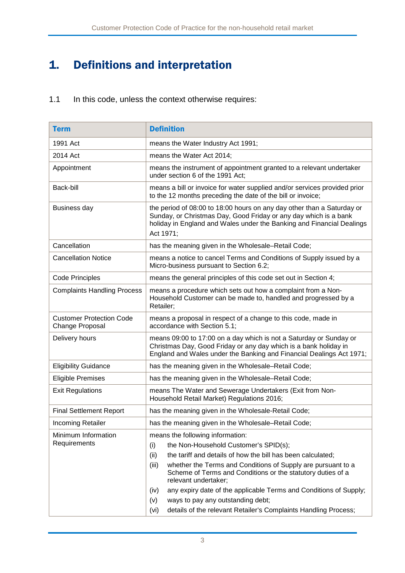## <span id="page-3-0"></span>1. Definitions and interpretation

1.1 In this code, unless the context otherwise requires:

| <b>Term</b>                                        | <b>Definition</b>                                                                                                                                                                                                                                                                                                       |  |
|----------------------------------------------------|-------------------------------------------------------------------------------------------------------------------------------------------------------------------------------------------------------------------------------------------------------------------------------------------------------------------------|--|
| 1991 Act                                           | means the Water Industry Act 1991;                                                                                                                                                                                                                                                                                      |  |
| 2014 Act                                           | means the Water Act 2014;                                                                                                                                                                                                                                                                                               |  |
| Appointment                                        | means the instrument of appointment granted to a relevant undertaker<br>under section 6 of the 1991 Act;                                                                                                                                                                                                                |  |
| Back-bill                                          | means a bill or invoice for water supplied and/or services provided prior<br>to the 12 months preceding the date of the bill or invoice;                                                                                                                                                                                |  |
| <b>Business day</b>                                | the period of 08:00 to 18:00 hours on any day other than a Saturday or<br>Sunday, or Christmas Day, Good Friday or any day which is a bank<br>holiday in England and Wales under the Banking and Financial Dealings<br>Act 1971;                                                                                        |  |
| Cancellation                                       | has the meaning given in the Wholesale–Retail Code;                                                                                                                                                                                                                                                                     |  |
| <b>Cancellation Notice</b>                         | means a notice to cancel Terms and Conditions of Supply issued by a<br>Micro-business pursuant to Section 6.2;                                                                                                                                                                                                          |  |
| <b>Code Principles</b>                             | means the general principles of this code set out in Section 4;                                                                                                                                                                                                                                                         |  |
| <b>Complaints Handling Process</b>                 | means a procedure which sets out how a complaint from a Non-<br>Household Customer can be made to, handled and progressed by a<br>Retailer;                                                                                                                                                                             |  |
| <b>Customer Protection Code</b><br>Change Proposal | means a proposal in respect of a change to this code, made in<br>accordance with Section 5.1;                                                                                                                                                                                                                           |  |
| Delivery hours                                     | means 09:00 to 17:00 on a day which is not a Saturday or Sunday or<br>Christmas Day, Good Friday or any day which is a bank holiday in<br>England and Wales under the Banking and Financial Dealings Act 1971;                                                                                                          |  |
| <b>Eligibility Guidance</b>                        | has the meaning given in the Wholesale-Retail Code;                                                                                                                                                                                                                                                                     |  |
| <b>Eligible Premises</b>                           | has the meaning given in the Wholesale-Retail Code;                                                                                                                                                                                                                                                                     |  |
| <b>Exit Regulations</b>                            | means The Water and Sewerage Undertakers (Exit from Non-<br>Household Retail Market) Regulations 2016;                                                                                                                                                                                                                  |  |
| <b>Final Settlement Report</b>                     | has the meaning given in the Wholesale-Retail Code;                                                                                                                                                                                                                                                                     |  |
| Incoming Retailer                                  | has the meaning given in the Wholesale-Retail Code;                                                                                                                                                                                                                                                                     |  |
| Minimum Information<br>Requirements                | means the following information:<br>the Non-Household Customer's SPID(s);<br>(i)<br>(ii)<br>the tariff and details of how the bill has been calculated;<br>whether the Terms and Conditions of Supply are pursuant to a<br>(iii)<br>Scheme of Terms and Conditions or the statutory duties of a<br>relevant undertaker; |  |
|                                                    | any expiry date of the applicable Terms and Conditions of Supply;<br>(iv)<br>(v)<br>ways to pay any outstanding debt;<br>details of the relevant Retailer's Complaints Handling Process;<br>(vi)                                                                                                                        |  |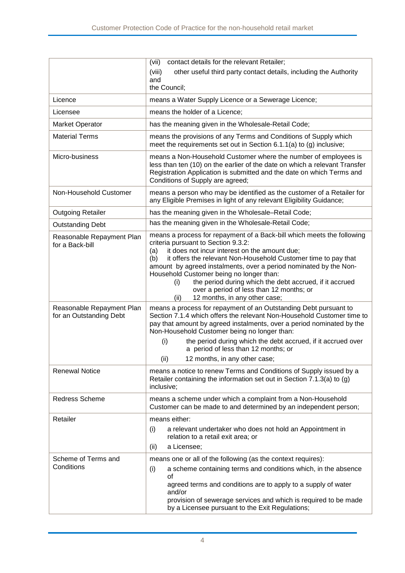|                                                      | (vii)<br>contact details for the relevant Retailer;                                                                                                                                                                                                                                                                                                                                                                                                                                                                    |
|------------------------------------------------------|------------------------------------------------------------------------------------------------------------------------------------------------------------------------------------------------------------------------------------------------------------------------------------------------------------------------------------------------------------------------------------------------------------------------------------------------------------------------------------------------------------------------|
|                                                      | (viii)<br>other useful third party contact details, including the Authority                                                                                                                                                                                                                                                                                                                                                                                                                                            |
|                                                      | and<br>the Council;                                                                                                                                                                                                                                                                                                                                                                                                                                                                                                    |
| Licence                                              | means a Water Supply Licence or a Sewerage Licence;                                                                                                                                                                                                                                                                                                                                                                                                                                                                    |
|                                                      |                                                                                                                                                                                                                                                                                                                                                                                                                                                                                                                        |
| Licensee                                             | means the holder of a Licence;                                                                                                                                                                                                                                                                                                                                                                                                                                                                                         |
| <b>Market Operator</b>                               | has the meaning given in the Wholesale-Retail Code;                                                                                                                                                                                                                                                                                                                                                                                                                                                                    |
| <b>Material Terms</b>                                | means the provisions of any Terms and Conditions of Supply which<br>meet the requirements set out in Section 6.1.1(a) to (g) inclusive;                                                                                                                                                                                                                                                                                                                                                                                |
| Micro-business                                       | means a Non-Household Customer where the number of employees is<br>less than ten (10) on the earlier of the date on which a relevant Transfer<br>Registration Application is submitted and the date on which Terms and<br>Conditions of Supply are agreed;                                                                                                                                                                                                                                                             |
| Non-Household Customer                               | means a person who may be identified as the customer of a Retailer for<br>any Eligible Premises in light of any relevant Eligibility Guidance;                                                                                                                                                                                                                                                                                                                                                                         |
| <b>Outgoing Retailer</b>                             | has the meaning given in the Wholesale-Retail Code;                                                                                                                                                                                                                                                                                                                                                                                                                                                                    |
| <b>Outstanding Debt</b>                              | has the meaning given in the Wholesale-Retail Code;                                                                                                                                                                                                                                                                                                                                                                                                                                                                    |
| Reasonable Repayment Plan<br>for a Back-bill         | means a process for repayment of a Back-bill which meets the following<br>criteria pursuant to Section 9.3.2:<br>it does not incur interest on the amount due;<br>(a)<br>it offers the relevant Non-Household Customer time to pay that<br>(b)<br>amount by agreed instalments, over a period nominated by the Non-<br>Household Customer being no longer than:<br>the period during which the debt accrued, if it accrued<br>(i)<br>over a period of less than 12 months; or<br>12 months, in any other case;<br>(ii) |
| Reasonable Repayment Plan<br>for an Outstanding Debt | means a process for repayment of an Outstanding Debt pursuant to<br>Section 7.1.4 which offers the relevant Non-Household Customer time to<br>pay that amount by agreed instalments, over a period nominated by the<br>Non-Household Customer being no longer than:                                                                                                                                                                                                                                                    |
|                                                      | (i)<br>the period during which the debt accrued, if it accrued over<br>a period of less than 12 months; or                                                                                                                                                                                                                                                                                                                                                                                                             |
| <b>Renewal Notice</b>                                | (ii)<br>12 months, in any other case;<br>means a notice to renew Terms and Conditions of Supply issued by a<br>Retailer containing the information set out in Section 7.1.3(a) to (g)<br>inclusive;                                                                                                                                                                                                                                                                                                                    |
| Redress Scheme                                       | means a scheme under which a complaint from a Non-Household<br>Customer can be made to and determined by an independent person;                                                                                                                                                                                                                                                                                                                                                                                        |
| Retailer                                             | means either:<br>a relevant undertaker who does not hold an Appointment in<br>(i)<br>relation to a retail exit area; or<br>a Licensee;<br>(ii)                                                                                                                                                                                                                                                                                                                                                                         |
| Scheme of Terms and<br>Conditions                    | means one or all of the following (as the context requires):<br>(i)<br>a scheme containing terms and conditions which, in the absence<br>0f<br>agreed terms and conditions are to apply to a supply of water<br>and/or<br>provision of sewerage services and which is required to be made<br>by a Licensee pursuant to the Exit Regulations;                                                                                                                                                                           |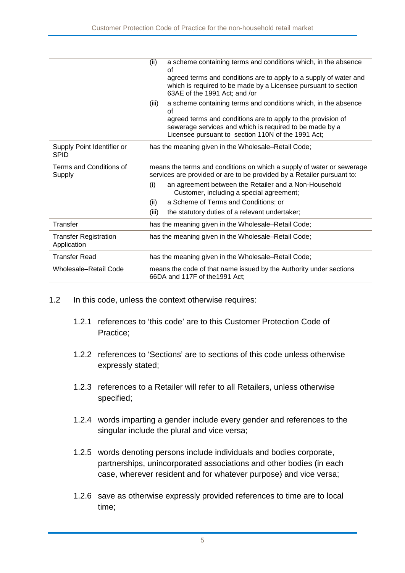|                                             | a scheme containing terms and conditions which, in the absence<br>(ii)<br>Ωf<br>agreed terms and conditions are to apply to a supply of water and<br>which is required to be made by a Licensee pursuant to section<br>63AE of the 1991 Act; and /or |  |
|---------------------------------------------|------------------------------------------------------------------------------------------------------------------------------------------------------------------------------------------------------------------------------------------------------|--|
|                                             | a scheme containing terms and conditions which, in the absence<br>(iii)<br>οf                                                                                                                                                                        |  |
|                                             | agreed terms and conditions are to apply to the provision of<br>sewerage services and which is required to be made by a<br>Licensee pursuant to section 110N of the 1991 Act;                                                                        |  |
| Supply Point Identifier or<br><b>SPID</b>   | has the meaning given in the Wholesale–Retail Code;                                                                                                                                                                                                  |  |
| Terms and Conditions of<br>Supply           | means the terms and conditions on which a supply of water or sewerage<br>services are provided or are to be provided by a Retailer pursuant to:                                                                                                      |  |
|                                             | an agreement between the Retailer and a Non-Household<br>(i)<br>Customer, including a special agreement;                                                                                                                                             |  |
|                                             | a Scheme of Terms and Conditions; or<br>(ii)                                                                                                                                                                                                         |  |
|                                             | (iii)<br>the statutory duties of a relevant undertaker;                                                                                                                                                                                              |  |
| Transfer                                    | has the meaning given in the Wholesale-Retail Code;                                                                                                                                                                                                  |  |
| <b>Transfer Registration</b><br>Application | has the meaning given in the Wholesale-Retail Code;                                                                                                                                                                                                  |  |
| Transfer Read                               | has the meaning given in the Wholesale–Retail Code;                                                                                                                                                                                                  |  |
| Wholesale-Retail Code                       | means the code of that name issued by the Authority under sections<br>66DA and 117F of the 1991 Act;                                                                                                                                                 |  |

- 1.2 In this code, unless the context otherwise requires:
	- 1.2.1 references to 'this code' are to this Customer Protection Code of Practice;
	- 1.2.2 references to 'Sections' are to sections of this code unless otherwise expressly stated;
	- 1.2.3 references to a Retailer will refer to all Retailers, unless otherwise specified;
	- 1.2.4 words imparting a gender include every gender and references to the singular include the plural and vice versa;
	- 1.2.5 words denoting persons include individuals and bodies corporate, partnerships, unincorporated associations and other bodies (in each case, wherever resident and for whatever purpose) and vice versa;
	- 1.2.6 save as otherwise expressly provided references to time are to local time;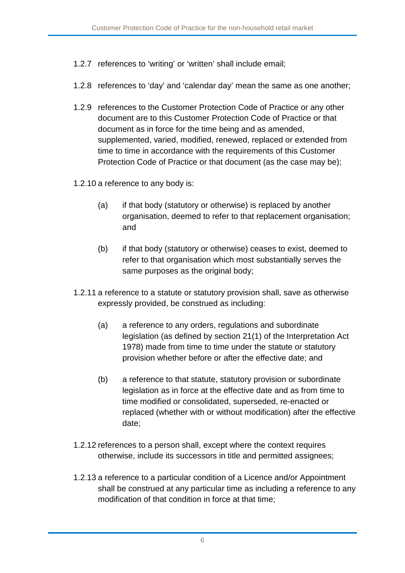- 1.2.7 references to 'writing' or 'written' shall include email;
- 1.2.8 references to 'day' and 'calendar day' mean the same as one another;
- 1.2.9 references to the Customer Protection Code of Practice or any other document are to this Customer Protection Code of Practice or that document as in force for the time being and as amended, supplemented, varied, modified, renewed, replaced or extended from time to time in accordance with the requirements of this Customer Protection Code of Practice or that document (as the case may be);
- 1.2.10 a reference to any body is:
	- (a) if that body (statutory or otherwise) is replaced by another organisation, deemed to refer to that replacement organisation; and
	- (b) if that body (statutory or otherwise) ceases to exist, deemed to refer to that organisation which most substantially serves the same purposes as the original body;
- 1.2.11 a reference to a statute or statutory provision shall, save as otherwise expressly provided, be construed as including:
	- (a) a reference to any orders, regulations and subordinate legislation (as defined by section 21(1) of the Interpretation Act 1978) made from time to time under the statute or statutory provision whether before or after the effective date; and
	- (b) a reference to that statute, statutory provision or subordinate legislation as in force at the effective date and as from time to time modified or consolidated, superseded, re-enacted or replaced (whether with or without modification) after the effective date;
- 1.2.12 references to a person shall, except where the context requires otherwise, include its successors in title and permitted assignees;
- 1.2.13 a reference to a particular condition of a Licence and/or Appointment shall be construed at any particular time as including a reference to any modification of that condition in force at that time;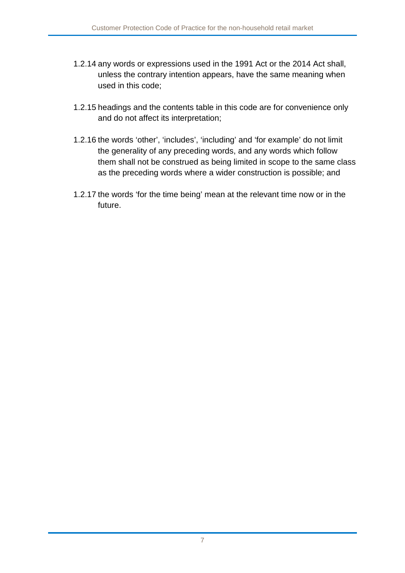- 1.2.14 any words or expressions used in the 1991 Act or the 2014 Act shall, unless the contrary intention appears, have the same meaning when used in this code;
- 1.2.15 headings and the contents table in this code are for convenience only and do not affect its interpretation;
- 1.2.16 the words 'other', 'includes', 'including' and 'for example' do not limit the generality of any preceding words, and any words which follow them shall not be construed as being limited in scope to the same class as the preceding words where a wider construction is possible; and
- 1.2.17 the words 'for the time being' mean at the relevant time now or in the future.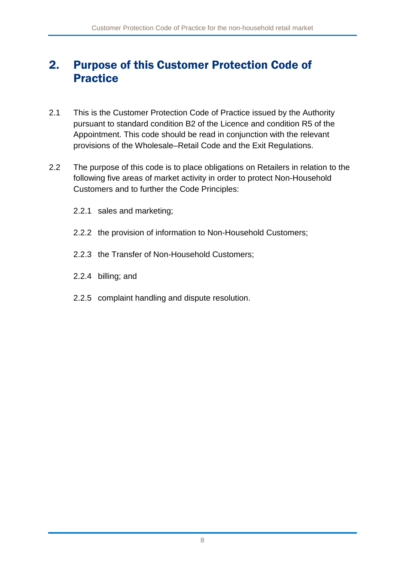### <span id="page-8-0"></span>2. Purpose of this Customer Protection Code of Practice

- 2.1 This is the Customer Protection Code of Practice issued by the Authority pursuant to standard condition B2 of the Licence and condition R5 of the Appointment. This code should be read in conjunction with the relevant provisions of the Wholesale–Retail Code and the Exit Regulations.
- 2.2 The purpose of this code is to place obligations on Retailers in relation to the following five areas of market activity in order to protect Non-Household Customers and to further the Code Principles:
	- 2.2.1 sales and marketing;
	- 2.2.2 the provision of information to Non-Household Customers;
	- 2.2.3 the Transfer of Non-Household Customers;
	- 2.2.4 billing; and
	- 2.2.5 complaint handling and dispute resolution.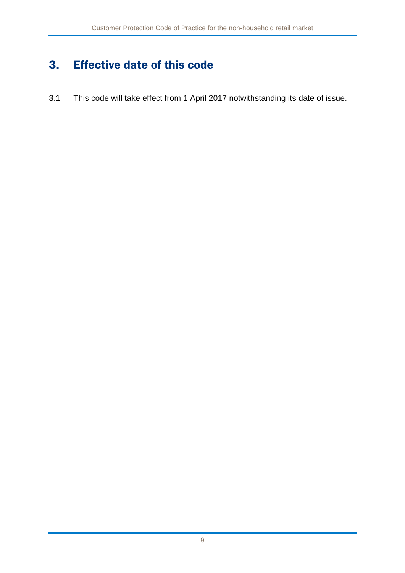## <span id="page-9-0"></span>3. Effective date of this code

3.1 This code will take effect from 1 April 2017 notwithstanding its date of issue.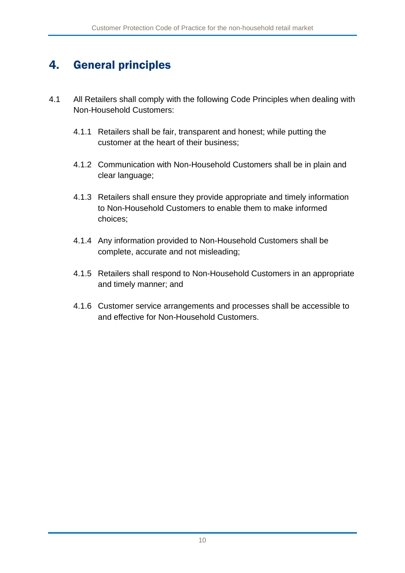### <span id="page-10-0"></span>4. General principles

- 4.1 All Retailers shall comply with the following Code Principles when dealing with Non-Household Customers:
	- 4.1.1 Retailers shall be fair, transparent and honest; while putting the customer at the heart of their business;
	- 4.1.2 Communication with Non-Household Customers shall be in plain and clear language;
	- 4.1.3 Retailers shall ensure they provide appropriate and timely information to Non-Household Customers to enable them to make informed choices;
	- 4.1.4 Any information provided to Non-Household Customers shall be complete, accurate and not misleading;
	- 4.1.5 Retailers shall respond to Non-Household Customers in an appropriate and timely manner; and
	- 4.1.6 Customer service arrangements and processes shall be accessible to and effective for Non-Household Customers.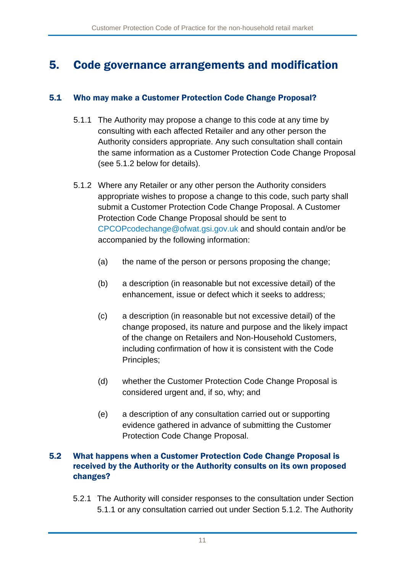### <span id="page-11-0"></span>5. Code governance arrangements and modification

#### 5.1 Who may make a Customer Protection Code Change Proposal?

- 5.1.1 The Authority may propose a change to this code at any time by consulting with each affected Retailer and any other person the Authority considers appropriate. Any such consultation shall contain the same information as a Customer Protection Code Change Proposal (see 5.1.2 below for details).
- 5.1.2 Where any Retailer or any other person the Authority considers appropriate wishes to propose a change to this code, such party shall submit a Customer Protection Code Change Proposal. A Customer Protection Code Change Proposal should be sent to [CPCOPcodechange@ofwat.gsi.gov.uk](mailto:CPCOPcodechange@ofwat.gsi.gov.uk) and should contain and/or be accompanied by the following information:
	- (a) the name of the person or persons proposing the change;
	- (b) a description (in reasonable but not excessive detail) of the enhancement, issue or defect which it seeks to address;
	- (c) a description (in reasonable but not excessive detail) of the change proposed, its nature and purpose and the likely impact of the change on Retailers and Non-Household Customers, including confirmation of how it is consistent with the Code Principles;
	- (d) whether the Customer Protection Code Change Proposal is considered urgent and, if so, why; and
	- (e) a description of any consultation carried out or supporting evidence gathered in advance of submitting the Customer Protection Code Change Proposal.

#### 5.2 What happens when a Customer Protection Code Change Proposal is received by the Authority or the Authority consults on its own proposed changes?

5.2.1 The Authority will consider responses to the consultation under Section 5.1.1 or any consultation carried out under Section 5.1.2. The Authority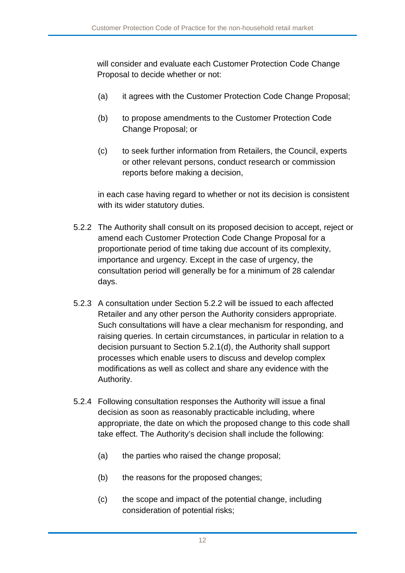will consider and evaluate each Customer Protection Code Change Proposal to decide whether or not:

- (a) it agrees with the Customer Protection Code Change Proposal;
- (b) to propose amendments to the Customer Protection Code Change Proposal; or
- (c) to seek further information from Retailers, the Council, experts or other relevant persons, conduct research or commission reports before making a decision,

in each case having regard to whether or not its decision is consistent with its wider statutory duties.

- 5.2.2 The Authority shall consult on its proposed decision to accept, reject or amend each Customer Protection Code Change Proposal for a proportionate period of time taking due account of its complexity, importance and urgency. Except in the case of urgency, the consultation period will generally be for a minimum of 28 calendar days.
- 5.2.3 A consultation under Section 5.2.2 will be issued to each affected Retailer and any other person the Authority considers appropriate. Such consultations will have a clear mechanism for responding, and raising queries. In certain circumstances, in particular in relation to a decision pursuant to Section 5.2.1(d), the Authority shall support processes which enable users to discuss and develop complex modifications as well as collect and share any evidence with the Authority.
- 5.2.4 Following consultation responses the Authority will issue a final decision as soon as reasonably practicable including, where appropriate, the date on which the proposed change to this code shall take effect. The Authority's decision shall include the following:
	- (a) the parties who raised the change proposal;
	- (b) the reasons for the proposed changes;
	- (c) the scope and impact of the potential change, including consideration of potential risks;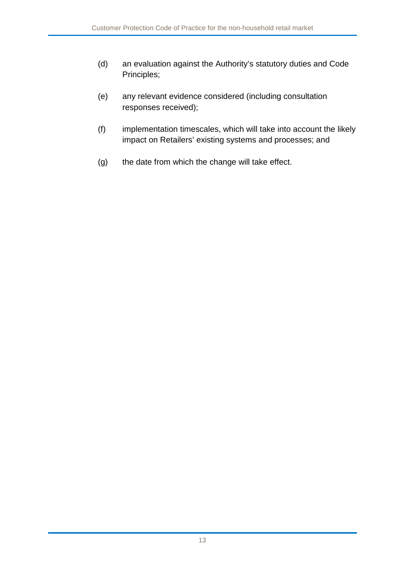- (d) an evaluation against the Authority's statutory duties and Code Principles;
- (e) any relevant evidence considered (including consultation responses received);
- (f) implementation timescales, which will take into account the likely impact on Retailers' existing systems and processes; and
- (g) the date from which the change will take effect.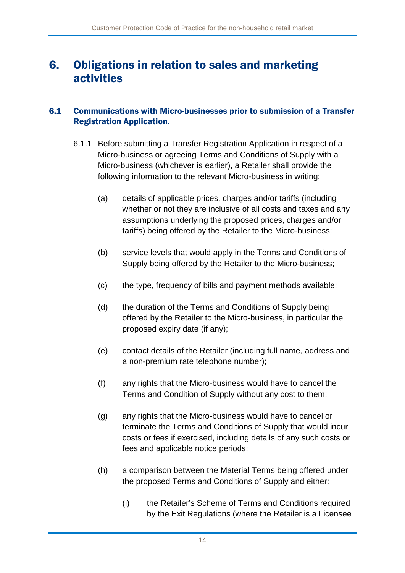### <span id="page-14-0"></span>6. Obligations in relation to sales and marketing activities

#### 6.1 Communications with Micro-businesses prior to submission of a Transfer Registration Application.

- 6.1.1 Before submitting a Transfer Registration Application in respect of a Micro-business or agreeing Terms and Conditions of Supply with a Micro-business (whichever is earlier), a Retailer shall provide the following information to the relevant Micro-business in writing:
	- (a) details of applicable prices, charges and/or tariffs (including whether or not they are inclusive of all costs and taxes and any assumptions underlying the proposed prices, charges and/or tariffs) being offered by the Retailer to the Micro-business;
	- (b) service levels that would apply in the Terms and Conditions of Supply being offered by the Retailer to the Micro-business;
	- (c) the type, frequency of bills and payment methods available;
	- (d) the duration of the Terms and Conditions of Supply being offered by the Retailer to the Micro-business, in particular the proposed expiry date (if any);
	- (e) contact details of the Retailer (including full name, address and a non-premium rate telephone number);
	- (f) any rights that the Micro-business would have to cancel the Terms and Condition of Supply without any cost to them;
	- (g) any rights that the Micro-business would have to cancel or terminate the Terms and Conditions of Supply that would incur costs or fees if exercised, including details of any such costs or fees and applicable notice periods;
	- (h) a comparison between the Material Terms being offered under the proposed Terms and Conditions of Supply and either:
		- (i) the Retailer's Scheme of Terms and Conditions required by the Exit Regulations (where the Retailer is a Licensee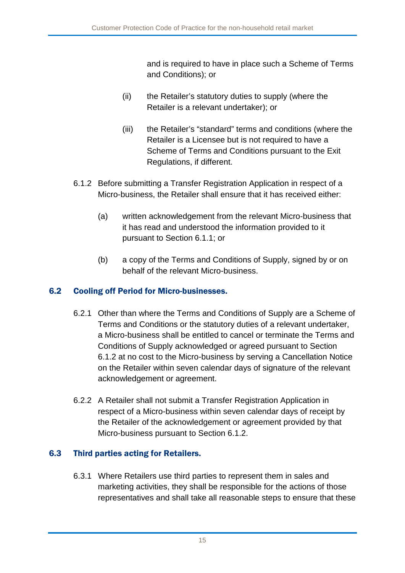and is required to have in place such a Scheme of Terms and Conditions); or

- (ii) the Retailer's statutory duties to supply (where the Retailer is a relevant undertaker); or
- (iii) the Retailer's "standard" terms and conditions (where the Retailer is a Licensee but is not required to have a Scheme of Terms and Conditions pursuant to the Exit Regulations, if different.
- 6.1.2 Before submitting a Transfer Registration Application in respect of a Micro-business, the Retailer shall ensure that it has received either:
	- (a) written acknowledgement from the relevant Micro-business that it has read and understood the information provided to it pursuant to Section 6.1.1; or
	- (b) a copy of the Terms and Conditions of Supply, signed by or on behalf of the relevant Micro-business.

### 6.2 Cooling off Period for Micro-businesses.

- 6.2.1 Other than where the Terms and Conditions of Supply are a Scheme of Terms and Conditions or the statutory duties of a relevant undertaker, a Micro-business shall be entitled to cancel or terminate the Terms and Conditions of Supply acknowledged or agreed pursuant to Section 6.1.2 at no cost to the Micro-business by serving a Cancellation Notice on the Retailer within seven calendar days of signature of the relevant acknowledgement or agreement.
- 6.2.2 A Retailer shall not submit a Transfer Registration Application in respect of a Micro-business within seven calendar days of receipt by the Retailer of the acknowledgement or agreement provided by that Micro-business pursuant to Section 6.1.2.

### 6.3 Third parties acting for Retailers.

6.3.1 Where Retailers use third parties to represent them in sales and marketing activities, they shall be responsible for the actions of those representatives and shall take all reasonable steps to ensure that these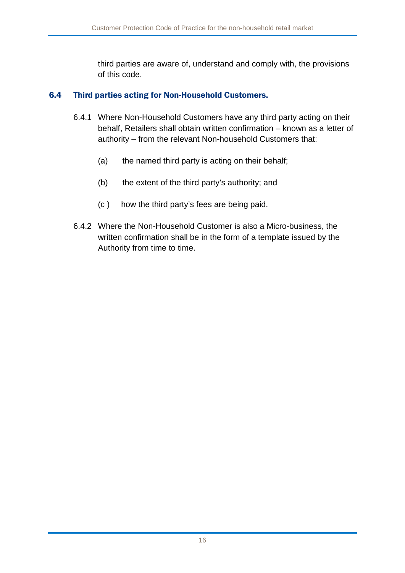third parties are aware of, understand and comply with, the provisions of this code.

#### 6.4 Third parties acting for Non-Household Customers.

- 6.4.1 Where Non-Household Customers have any third party acting on their behalf, Retailers shall obtain written confirmation – known as a letter of authority – from the relevant Non-household Customers that:
	- (a) the named third party is acting on their behalf;
	- (b) the extent of the third party's authority; and
	- (c ) how the third party's fees are being paid.
- 6.4.2 Where the Non-Household Customer is also a Micro-business, the written confirmation shall be in the form of a template issued by the Authority from time to time.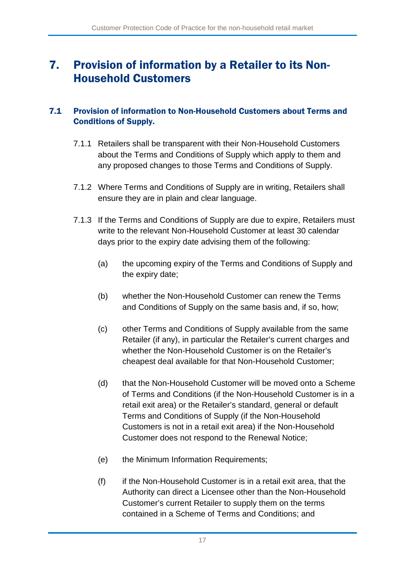### <span id="page-17-0"></span>7. Provision of information by a Retailer to its Non-Household Customers

#### 7.1 Provision of information to Non-Household Customers about Terms and Conditions of Supply.

- 7.1.1 Retailers shall be transparent with their Non-Household Customers about the Terms and Conditions of Supply which apply to them and any proposed changes to those Terms and Conditions of Supply.
- 7.1.2 Where Terms and Conditions of Supply are in writing, Retailers shall ensure they are in plain and clear language.
- 7.1.3 If the Terms and Conditions of Supply are due to expire, Retailers must write to the relevant Non-Household Customer at least 30 calendar days prior to the expiry date advising them of the following:
	- (a) the upcoming expiry of the Terms and Conditions of Supply and the expiry date;
	- (b) whether the Non-Household Customer can renew the Terms and Conditions of Supply on the same basis and, if so, how;
	- (c) other Terms and Conditions of Supply available from the same Retailer (if any), in particular the Retailer's current charges and whether the Non-Household Customer is on the Retailer's cheapest deal available for that Non-Household Customer;
	- (d) that the Non-Household Customer will be moved onto a Scheme of Terms and Conditions (if the Non-Household Customer is in a retail exit area) or the Retailer's standard, general or default Terms and Conditions of Supply (if the Non-Household Customers is not in a retail exit area) if the Non-Household Customer does not respond to the Renewal Notice;
	- (e) the Minimum Information Requirements;
	- (f) if the Non-Household Customer is in a retail exit area, that the Authority can direct a Licensee other than the Non-Household Customer's current Retailer to supply them on the terms contained in a Scheme of Terms and Conditions; and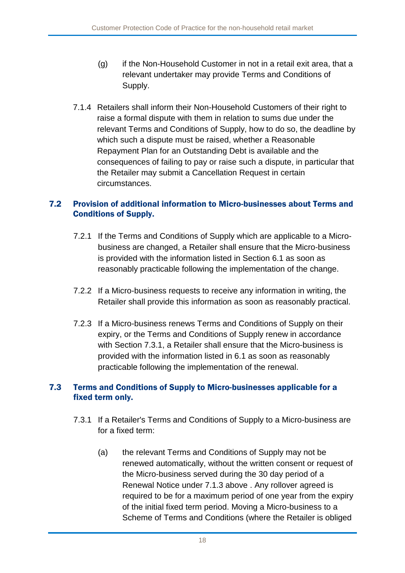- (g) if the Non-Household Customer in not in a retail exit area, that a relevant undertaker may provide Terms and Conditions of Supply.
- 7.1.4 Retailers shall inform their Non-Household Customers of their right to raise a formal dispute with them in relation to sums due under the relevant Terms and Conditions of Supply, how to do so, the deadline by which such a dispute must be raised, whether a Reasonable Repayment Plan for an Outstanding Debt is available and the consequences of failing to pay or raise such a dispute, in particular that the Retailer may submit a Cancellation Request in certain circumstances.

### 7.2 Provision of additional information to Micro-businesses about Terms and Conditions of Supply.

- 7.2.1 If the Terms and Conditions of Supply which are applicable to a Microbusiness are changed, a Retailer shall ensure that the Micro-business is provided with the information listed in Section 6.1 as soon as reasonably practicable following the implementation of the change.
- 7.2.2 If a Micro-business requests to receive any information in writing, the Retailer shall provide this information as soon as reasonably practical.
- 7.2.3 If a Micro-business renews Terms and Conditions of Supply on their expiry, or the Terms and Conditions of Supply renew in accordance with Section 7.3.1, a Retailer shall ensure that the Micro-business is provided with the information listed in 6.1 as soon as reasonably practicable following the implementation of the renewal.

#### 7.3 Terms and Conditions of Supply to Micro-businesses applicable for a fixed term only.

- 7.3.1 If a Retailer's Terms and Conditions of Supply to a Micro-business are for a fixed term:
	- (a) the relevant Terms and Conditions of Supply may not be renewed automatically, without the written consent or request of the Micro-business served during the 30 day period of a Renewal Notice under 7.1.3 above . Any rollover agreed is required to be for a maximum period of one year from the expiry of the initial fixed term period. Moving a Micro-business to a Scheme of Terms and Conditions (where the Retailer is obliged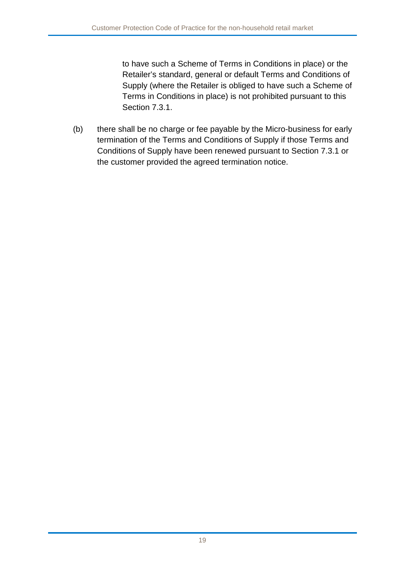to have such a Scheme of Terms in Conditions in place) or the Retailer's standard, general or default Terms and Conditions of Supply (where the Retailer is obliged to have such a Scheme of Terms in Conditions in place) is not prohibited pursuant to this Section 7.3.1.

(b) there shall be no charge or fee payable by the Micro-business for early termination of the Terms and Conditions of Supply if those Terms and Conditions of Supply have been renewed pursuant to Section 7.3.1 or the customer provided the agreed termination notice.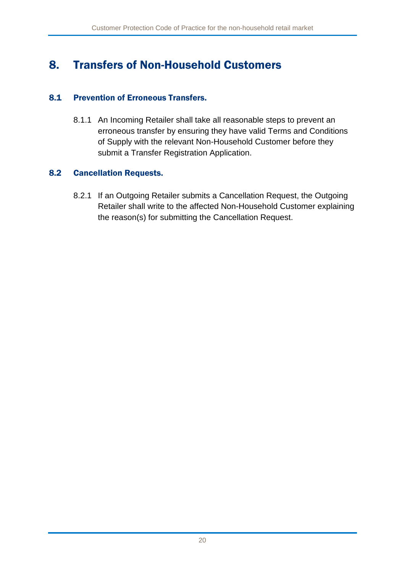### <span id="page-20-0"></span>8. Transfers of Non-Household Customers

#### 8.1 Prevention of Erroneous Transfers.

8.1.1 An Incoming Retailer shall take all reasonable steps to prevent an erroneous transfer by ensuring they have valid Terms and Conditions of Supply with the relevant Non-Household Customer before they submit a Transfer Registration Application.

#### 8.2 Cancellation Requests.

8.2.1 If an Outgoing Retailer submits a Cancellation Request, the Outgoing Retailer shall write to the affected Non-Household Customer explaining the reason(s) for submitting the Cancellation Request.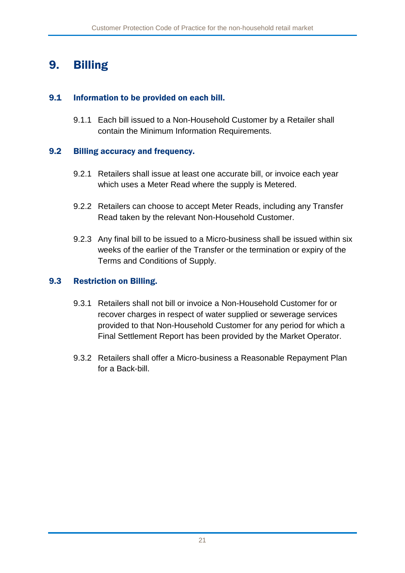## <span id="page-21-0"></span>9. Billing

### 9.1 Information to be provided on each bill.

9.1.1 Each bill issued to a Non-Household Customer by a Retailer shall contain the Minimum Information Requirements.

### 9.2 Billing accuracy and frequency.

- 9.2.1 Retailers shall issue at least one accurate bill, or invoice each year which uses a Meter Read where the supply is Metered.
- 9.2.2 Retailers can choose to accept Meter Reads, including any Transfer Read taken by the relevant Non-Household Customer.
- 9.2.3 Any final bill to be issued to a Micro-business shall be issued within six weeks of the earlier of the Transfer or the termination or expiry of the Terms and Conditions of Supply.

### 9.3 Restriction on Billing.

- 9.3.1 Retailers shall not bill or invoice a Non-Household Customer for or recover charges in respect of water supplied or sewerage services provided to that Non-Household Customer for any period for which a Final Settlement Report has been provided by the Market Operator.
- 9.3.2 Retailers shall offer a Micro-business a Reasonable Repayment Plan for a Back-bill.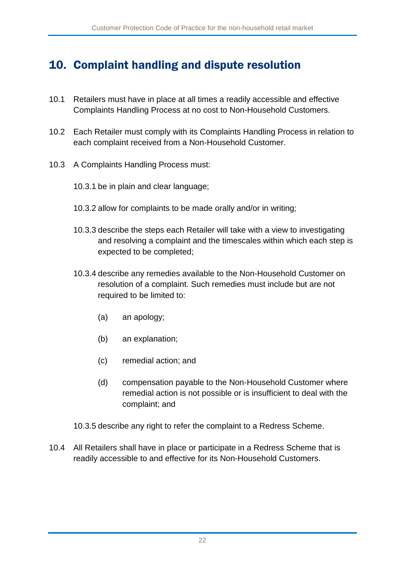### <span id="page-22-0"></span>10. Complaint handling and dispute resolution

- 10.1 Retailers must have in place at all times a readily accessible and effective Complaints Handling Process at no cost to Non-Household Customers.
- 10.2 Each Retailer must comply with its Complaints Handling Process in relation to each complaint received from a Non-Household Customer.
- 10.3 A Complaints Handling Process must:
	- 10.3.1 be in plain and clear language;
	- 10.3.2 allow for complaints to be made orally and/or in writing;
	- 10.3.3 describe the steps each Retailer will take with a view to investigating and resolving a complaint and the timescales within which each step is expected to be completed;
	- 10.3.4 describe any remedies available to the Non-Household Customer on resolution of a complaint. Such remedies must include but are not required to be limited to:
		- (a) an apology;
		- (b) an explanation;
		- (c) remedial action; and
		- (d) compensation payable to the Non-Household Customer where remedial action is not possible or is insufficient to deal with the complaint; and
	- 10.3.5 describe any right to refer the complaint to a Redress Scheme.
- 10.4 All Retailers shall have in place or participate in a Redress Scheme that is readily accessible to and effective for its Non-Household Customers.